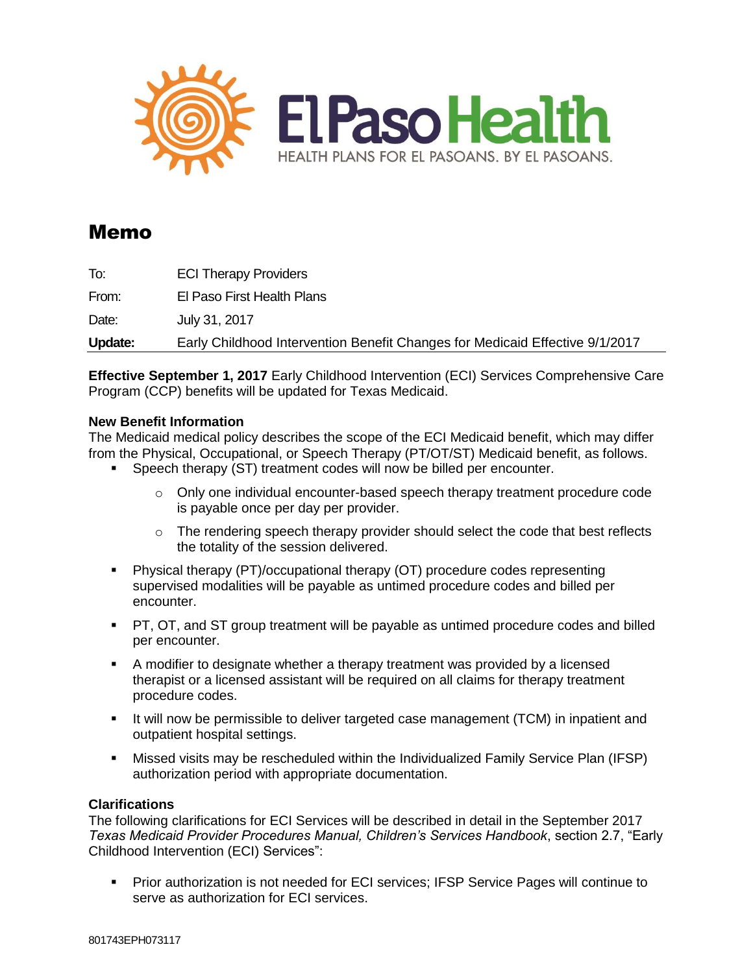

# Memo

| Update: | Early Childhood Intervention Benefit Changes for Medicaid Effective 9/1/2017 |
|---------|------------------------------------------------------------------------------|
| Date:   | July 31, 2017                                                                |
| From:   | El Paso First Health Plans                                                   |
| To:     | <b>ECI Therapy Providers</b>                                                 |

**Effective September 1, 2017** Early Childhood Intervention (ECI) Services Comprehensive Care Program (CCP) benefits will be updated for Texas Medicaid.

## **New Benefit Information**

The Medicaid medical policy describes the scope of the ECI Medicaid benefit, which may differ from the Physical, Occupational, or Speech Therapy (PT/OT/ST) Medicaid benefit, as follows.

- **Speech therapy (ST) treatment codes will now be billed per encounter.** 
	- $\circ$  Only one individual encounter-based speech therapy treatment procedure code is payable once per day per provider.
	- $\circ$  The rendering speech therapy provider should select the code that best reflects the totality of the session delivered.
- Physical therapy (PT)/occupational therapy (OT) procedure codes representing supervised modalities will be payable as untimed procedure codes and billed per encounter.
- PT, OT, and ST group treatment will be payable as untimed procedure codes and billed per encounter.
- A modifier to designate whether a therapy treatment was provided by a licensed therapist or a licensed assistant will be required on all claims for therapy treatment procedure codes.
- It will now be permissible to deliver targeted case management (TCM) in inpatient and outpatient hospital settings.
- Missed visits may be rescheduled within the Individualized Family Service Plan (IFSP) authorization period with appropriate documentation.

## **Clarifications**

The following clarifications for ECI Services will be described in detail in the September 2017 *Texas Medicaid Provider Procedures Manual, Children's Services Handbook*, section 2.7, "Early Childhood Intervention (ECI) Services":

**Prior authorization is not needed for ECI services; IFSP Service Pages will continue to** serve as authorization for ECI services.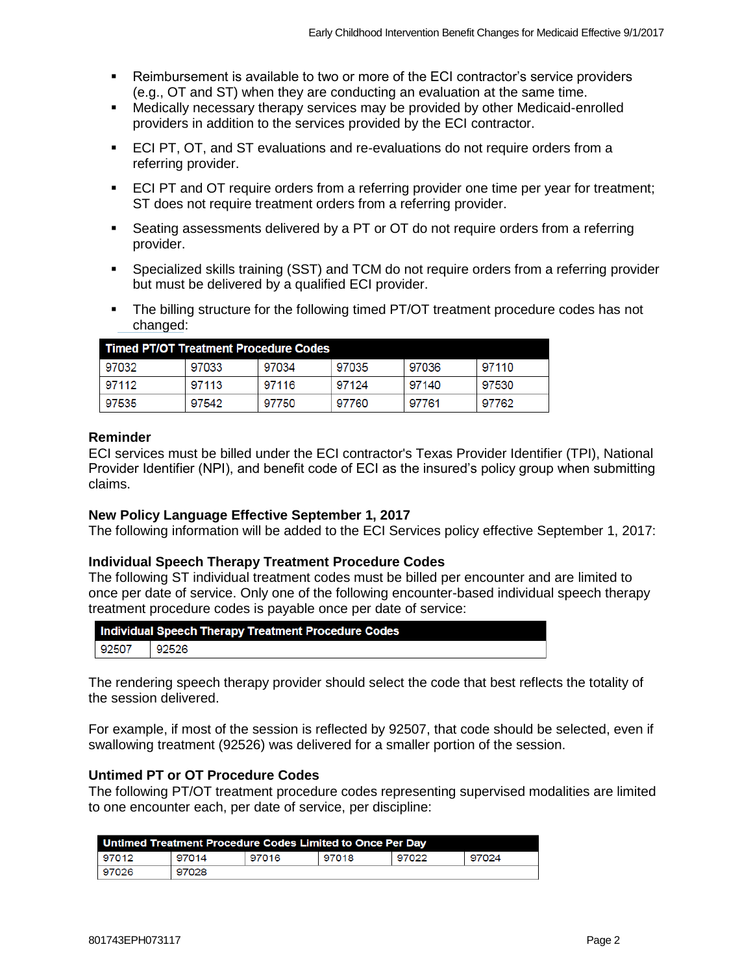- Reimbursement is available to two or more of the ECI contractor's service providers (e.g., OT and ST) when they are conducting an evaluation at the same time.
- Medically necessary therapy services may be provided by other Medicaid-enrolled providers in addition to the services provided by the ECI contractor.
- ECI PT, OT, and ST evaluations and re-evaluations do not require orders from a referring provider.
- **ECI PT and OT require orders from a referring provider one time per year for treatment;** ST does not require treatment orders from a referring provider.
- Seating assessments delivered by a PT or OT do not require orders from a referring provider.
- Specialized skills training (SST) and TCM do not require orders from a referring provider but must be delivered by a qualified ECI provider.
- The billing structure for the following timed PT/OT treatment procedure codes has not changed:

| <b>Timed PT/OT Treatment Procedure Codes</b> |       |       |       |       |       |
|----------------------------------------------|-------|-------|-------|-------|-------|
| 97032                                        | 97033 | 97034 | 97035 | 97036 | 97110 |
| 97112                                        | 97113 | 97116 | 97124 | 97140 | 97530 |
| 97535                                        | 97542 | 97750 | 97760 | 97761 | 97762 |

#### **Reminder**

ECI services must be billed under the ECI contractor's Texas Provider Identifier (TPI), National Provider Identifier (NPI), and benefit code of ECI as the insured's policy group when submitting claims.

#### **New Policy Language Effective September 1, 2017**

The following information will be added to the ECI Services policy effective September 1, 2017:

#### **Individual Speech Therapy Treatment Procedure Codes**

The following ST individual treatment codes must be billed per encounter and are limited to once per date of service. Only one of the following encounter-based individual speech therapy treatment procedure codes is payable once per date of service:

| Individual Speech Therapy Treatment Procedure Codes |       |  |
|-----------------------------------------------------|-------|--|
| 92507                                               | 92526 |  |
|                                                     |       |  |

The rendering speech therapy provider should select the code that best reflects the totality of the session delivered.

For example, if most of the session is reflected by 92507, that code should be selected, even if swallowing treatment (92526) was delivered for a smaller portion of the session.

#### **Untimed PT or OT Procedure Codes**

The following PT/OT treatment procedure codes representing supervised modalities are limited to one encounter each, per date of service, per discipline:

| Untimed Treatment Procedure Codes Limited to Once Per Day |       |       |       |       |       |
|-----------------------------------------------------------|-------|-------|-------|-------|-------|
| 97012                                                     | 97014 | 97016 | 97018 | 97022 | 97024 |
| 97026                                                     | 97028 |       |       |       |       |